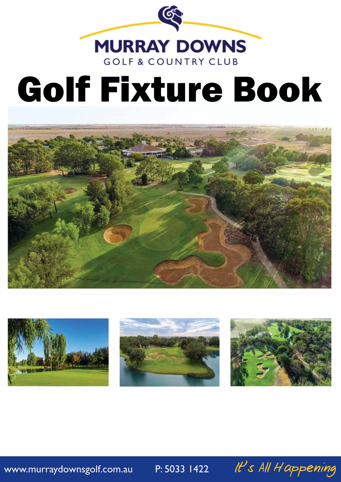

# Golf Fixture Book









www.murraydownsgolf.com.au P: 5033 1422 It's All Happening

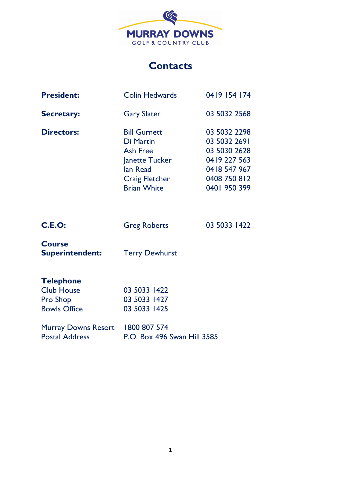

## **Contacts**

| <b>President:</b>                                                 | <b>Colin Hedwards</b>                                                                                                            | 0419 154 174                                                                                                 |
|-------------------------------------------------------------------|----------------------------------------------------------------------------------------------------------------------------------|--------------------------------------------------------------------------------------------------------------|
| <b>Secretary:</b>                                                 | <b>Gary Slater</b>                                                                                                               | 03 5032 2568                                                                                                 |
| <b>Directors:</b>                                                 | <b>Bill Gurnett</b><br>Di Martin<br><b>Ash Free</b><br>Janette Tucker<br>lan Read<br><b>Craig Fletcher</b><br><b>Brian White</b> | 03 5032 2298<br>03 5032 2691<br>03 5030 2628<br>0419 227 563<br>0418 547 967<br>0408 750 812<br>0401 950 399 |
| <b>C.E.O:</b>                                                     | <b>Greg Roberts</b>                                                                                                              | 03 5033 1422                                                                                                 |
| <b>Course</b><br><b>Superintendent:</b>                           | <b>Terry Dewhurst</b>                                                                                                            |                                                                                                              |
| <b>Telephone</b><br><b>Club House</b><br>Pro Shop<br>Bowls Office | 03 5033 1422<br>03 5033 1427<br>03 5033 1425                                                                                     |                                                                                                              |

| <b>Bowls Office</b>              | 03 5033 1425                |
|----------------------------------|-----------------------------|
| Murray Downs Resort 1800 807 574 |                             |
| <b>Postal Address</b>            | P.O. Box 496 Swan Hill 3585 |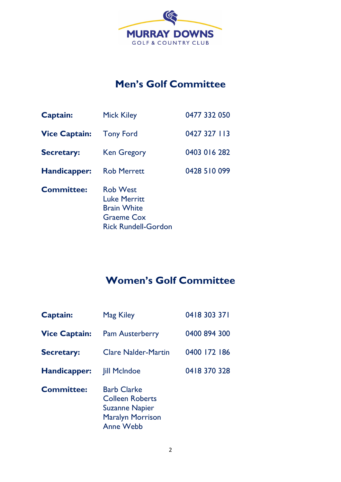

# **Men's Golf Committee**

| Captain:             | <b>Mick Kiley</b>                                                                                               | 0477 332 050 |
|----------------------|-----------------------------------------------------------------------------------------------------------------|--------------|
| <b>Vice Captain:</b> | <b>Tony Ford</b>                                                                                                | 0427 327 113 |
| <b>Secretary:</b>    | <b>Ken Gregory</b>                                                                                              | 0403 016 282 |
| Handicapper:         | <b>Rob Merrett</b>                                                                                              | 0428 510 099 |
| <b>Committee:</b>    | <b>Rob West</b><br><b>Luke Merritt</b><br><b>Brain White</b><br><b>Graeme Cox</b><br><b>Rick Rundell-Gordon</b> |              |

# **Women's Golf Committee**

| <b>Captain:</b>      | <b>Mag Kiley</b>                                                                                                     | 0418 303 371 |
|----------------------|----------------------------------------------------------------------------------------------------------------------|--------------|
| <b>Vice Captain:</b> | <b>Pam Austerberry</b>                                                                                               | 0400 894 300 |
| <b>Secretary:</b>    | <b>Clare Nalder-Martin</b>                                                                                           | 0400 172 186 |
| Handicapper:         | <b>Jill McIndoe</b>                                                                                                  | 0418 370 328 |
| <b>Committee:</b>    | <b>Barb Clarke</b><br><b>Colleen Roberts</b><br><b>Suzanne Napier</b><br><b>Maralyn Morrison</b><br><b>Anne Webb</b> |              |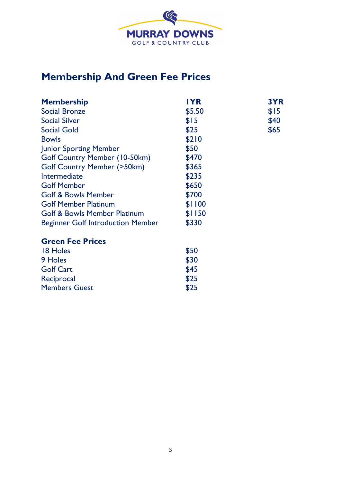

# **Membership And Green Fee Prices**

| <b>Membership</b>                        | <b>IYR</b> | 3YR  |
|------------------------------------------|------------|------|
| <b>Social Bronze</b>                     | \$5.50     | \$15 |
| <b>Social Silver</b>                     | \$15       | \$40 |
| <b>Social Gold</b>                       | \$25       | \$65 |
| <b>Bowls</b>                             | \$210      |      |
| <b>Junior Sporting Member</b>            | \$50       |      |
| Golf Country Member (10-50km)            | \$470      |      |
| <b>Golf Country Member (&gt;50km)</b>    | \$365      |      |
| Intermediate                             | \$235      |      |
| <b>Golf Member</b>                       | \$650      |      |
| <b>Golf &amp; Bowls Member</b>           | \$700      |      |
| <b>Golf Member Platinum</b>              | \$1100     |      |
| <b>Golf &amp; Bowls Member Platinum</b>  | \$1150     |      |
| <b>Beginner Golf Introduction Member</b> | \$330      |      |
| <b>Green Fee Prices</b>                  |            |      |
| 18 Holes                                 | \$50       |      |
|                                          | .          |      |

| 9 Holes              | \$30 |
|----------------------|------|
| <b>Golf Cart</b>     | \$45 |
| Reciprocal           | \$25 |
| <b>Members Guest</b> | \$25 |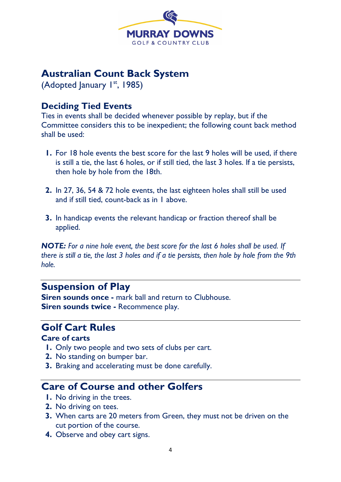

## **Australian Count Back System**

(Adopted January 1<sup>st</sup>, 1985)

## **Deciding Tied Events**

Ties in events shall be decided whenever possible by replay, but if the Committee considers this to be inexpedient; the following count back method shall be used:

- **1.** For 18 hole events the best score for the last 9 holes will be used, if there is still a tie, the last 6 holes, or if still tied, the last 3 holes. If a tie persists, then hole by hole from the 18th.
- **2.** In 27, 36, 54 & 72 hole events, the last eighteen holes shall still be used and if still tied, count-back as in 1 above.
- **3.** In handicap events the relevant handicap or fraction thereof shall be applied.

*NOTE: For a nine hole event, the best score for the last 6 holes shall be used. If there is still a tie, the last 3 holes and if a tie persists, then hole by hole from the 9th hole.*

# **Suspension of Play**

**Siren sounds once -** mark ball and return to Clubhouse. **Siren sounds twice -** Recommence play.

## **Golf Cart Rules**

#### **Care of carts**

- **1.** Only two people and two sets of clubs per cart.
- **2.** No standing on bumper bar.
- **3.** Braking and accelerating must be done carefully.

# **Care of Course and other Golfers**

- **1.** No driving in the trees.
- **2.** No driving on tees.
- **3.** When carts are 20 meters from Green, they must not be driven on the cut portion of the course.
- **4.** Observe and obey cart signs.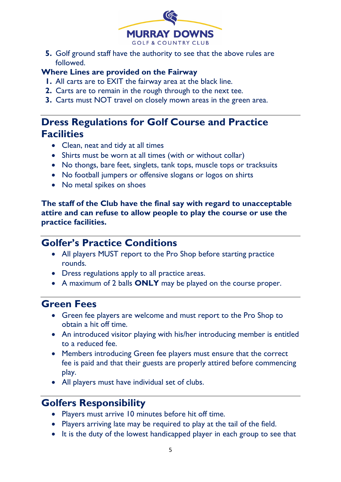

**5.** Golf ground staff have the authority to see that the above rules are followed.

#### **Where Lines are provided on the Fairway**

- **1.** All carts are to EXIT the fairway area at the black line.
- **2.** Carts are to remain in the rough through to the next tee.
- **3.** Carts must NOT travel on closely mown areas in the green area.

# **Dress Regulations for Golf Course and Practice Facilities**

- Clean, neat and tidy at all times
- Shirts must be worn at all times (with or without collar)
- No thongs, bare feet, singlets, tank tops, muscle tops or tracksuits
- No football jumpers or offensive slogans or logos on shirts
- No metal spikes on shoes

**The staff of the Club have the final say with regard to unacceptable attire and can refuse to allow people to play the course or use the practice facilities.**

# **Golfer's Practice Conditions**

- All players MUST report to the Pro Shop before starting practice rounds.
- Dress regulations apply to all practice areas.
- A maximum of 2 balls **ONLY** may be played on the course proper.

# **Green Fees**

- Green fee players are welcome and must report to the Pro Shop to obtain a hit off time.
- An introduced visitor playing with his/her introducing member is entitled to a reduced fee.
- Members introducing Green fee players must ensure that the correct fee is paid and that their guests are properly attired before commencing play.
- All players must have individual set of clubs.

# **Golfers Responsibility**

- Players must arrive 10 minutes before hit off time.
- Players arriving late may be required to play at the tail of the field.
- It is the duty of the lowest handicapped player in each group to see that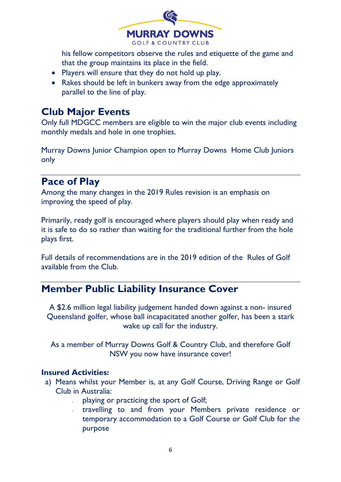

his fellow competitors observe the rules and etiquette of the game and that the group maintains its place in the field.

- Players will ensure that they do not hold up play.
- Rakes should be left in bunkers away from the edge approximately parallel to the line of play.

# **Club Major Events**

Only full MDGCC members are eligible to win the major club events including monthly medals and hole in one trophies.

Murray Downs Junior Champion open to Murray Downs Home Club Juniors only

# **Pace of Play**

Among the many changes in the 2019 Rules revision is an emphasis on improving the speed of play.

Primarily, ready golf is encouraged where players should play when ready and it is safe to do so rather than waiting for the traditional further from the hole plays first.

Full details of recommendations are in the 2019 edition of the Rules of Golf available from the Club.

# **Member Public Liability Insurance Cover**

A \$2.6 million legal liability judgement handed down against a non- insured Queensland golfer, whose ball incapacitated another golfer, has been a stark wake up call for the industry.

As a member of Murray Downs Golf & Country Club, and therefore Golf NSW you now have insurance cover!

#### **Insured Activities:**

- a) Means whilst your Member is, at any Golf Course, Driving Range or Golf Club in Australia:
	- playing or practicing the sport of Golf;
	- travelling to and from your Members private residence or temporary accommodation to a Golf Course or Golf Club for the purpose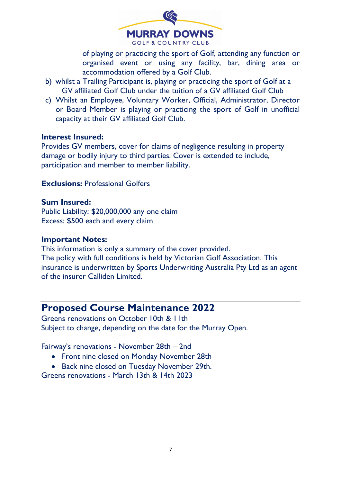

- of playing or practicing the sport of Golf, attending any function or organised event or using any facility, bar, dining area or accommodation offered by a Golf Club.
- b) whilst a Trailing Participant is, playing or practicing the sport of Golf at a GV affiliated Golf Club under the tuition of a GV affiliated Golf Club
- c) Whilst an Employee, Voluntary Worker, Official, Administrator, Director or Board Member is playing or practicing the sport of Golf in unofficial capacity at their GV affiliated Golf Club.

#### **Interest Insured:**

Provides GV members, cover for claims of negligence resulting in property damage or bodily injury to third parties. Cover is extended to include, participation and member to member liability.

**Exclusions:** Professional Golfers

#### **Sum Insured:**

Public Liability: \$20,000,000 any one claim Excess: \$500 each and every claim

#### **Important Notes:**

This information is only a summary of the cover provided. The policy with full conditions is held by Victorian Golf Association. This insurance is underwritten by Sports Underwriting Australia Pty Ltd as an agent of the insurer Calliden Limited.

## **Proposed Course Maintenance 2022**

Greens renovations on October 10th & 11th Subject to change, depending on the date for the Murray Open.

Fairway's renovations - November 28th – 2nd

- Front nine closed on Monday November 28th
- Back nine closed on Tuesday November 29th.

Greens renovations - March 13th & 14th 2023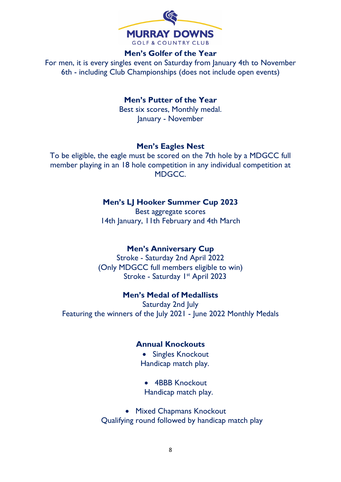

#### **Men's Golfer of the Year**

For men, it is every singles event on Saturday from January 4th to November 6th - including Club Championships (does not include open events)

**Men's Putter of the Year**

Best six scores, Monthly medal. January - November

#### **Men's Eagles Nest**

To be eligible, the eagle must be scored on the 7th hole by a MDGCC full member playing in an 18 hole competition in any individual competition at MDGCC.

#### **Men's LJ Hooker Summer Cup 2023**

Best aggregate scores 14th January, 11th February and 4th March

#### **Men's Anniversary Cup**

Stroke - Saturday 2nd April 2022 (Only MDGCC full members eligible to win) Stroke - Saturday I<sup>st</sup> April 2023

#### **Men's Medal of Medallists**

Saturday 2nd July Featuring the winners of the July 2021 - June 2022 Monthly Medals

#### **Annual Knockouts**

- Singles Knockout Handicap match play.
- 4BBB Knockout Handicap match play.

• Mixed Chapmans Knockout Qualifying round followed by handicap match play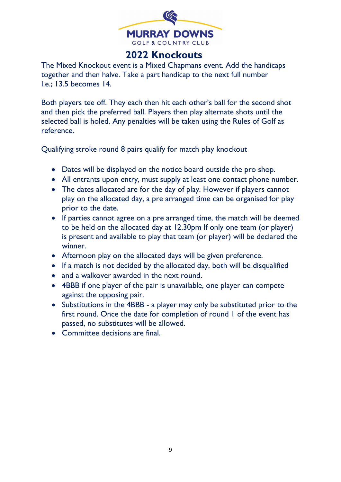

# **2022 Knockouts**

The Mixed Knockout event is a Mixed Chapmans event. Add the handicaps together and then halve. Take a part handicap to the next full number I.e.; 13.5 becomes 14.

Both players tee off. They each then hit each other's ball for the second shot and then pick the preferred ball. Players then play alternate shots until the selected ball is holed. Any penalties will be taken using the Rules of Golf as reference.

Qualifying stroke round 8 pairs qualify for match play knockout

- Dates will be displayed on the notice board outside the pro shop.
- All entrants upon entry, must supply at least one contact phone number.
- The dates allocated are for the day of play. However if players cannot play on the allocated day, a pre arranged time can be organised for play prior to the date.
- If parties cannot agree on a pre arranged time, the match will be deemed to be held on the allocated day at 12.30pm If only one team (or player) is present and available to play that team (or player) will be declared the winner.
- Afternoon play on the allocated days will be given preference.
- If a match is not decided by the allocated day, both will be disqualified
- and a walkover awarded in the next round.
- 4BBB if one player of the pair is unavailable, one player can compete against the opposing pair.
- Substitutions in the 4BBB a player may only be substituted prior to the first round. Once the date for completion of round 1 of the event has passed, no substitutes will be allowed.
- Committee decisions are final.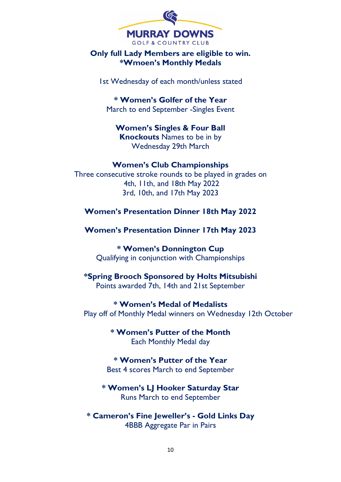

#### **Only full Lady Members are eligible to win. \*Wmoen's Monthly Medals**

1st Wednesday of each month/unless stated

**\* Women's Golfer of the Year** March to end September -Singles Event

**Women's Singles & Four Ball Knockouts** Names to be in by Wednesday 29th March

#### **Women's Club Championships**

Three consecutive stroke rounds to be played in grades on 4th, 11th, and 18th May 2022 3rd, 10th, and 17th May 2023

**Women's Presentation Dinner 18th May 2022**

**Women's Presentation Dinner 17th May 2023** 

**\* Women's Donnington Cup** Qualifying in conjunction with Championships

**\*Spring Brooch Sponsored by Holts Mitsubishi** Points awarded 7th, 14th and 21st September

**\* Women's Medal of Medalists** Play off of Monthly Medal winners on Wednesday 12th October

> **\* Women's Putter of the Month** Each Monthly Medal day

**\* Women's Putter of the Year** Best 4 scores March to end September

**\* Women's LJ Hooker Saturday Star** Runs March to end September

**\* Cameron's Fine Jeweller's - Gold Links Day** 4BBB Aggregate Par in Pairs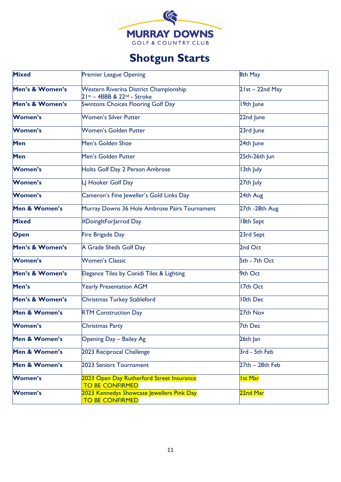

# **Shotgun Starts**

| <b>Mixed</b>    | <b>Premier League Opening</b>                                           | 8th May              |
|-----------------|-------------------------------------------------------------------------|----------------------|
| Men's & Women's | Western Riverina District Championship<br>$21st - 4BBB & 22nd - Stroke$ | $2$ Ist $-$ 22nd May |
| Men's & Women's | <b>Swintons Choices Flooring Golf Day</b>                               | 19th June            |
| <b>Women's</b>  | <b>Women's Silver Putter</b>                                            | 22nd June            |
| <b>Women's</b>  | Women's Golden Putter                                                   | 23rd June            |
| Men             | Men's Golden Shoe                                                       | 24th June            |
| Men             | Men's Golden Putter                                                     | 25th-26th Jun        |
| Women's         | Holts Golf Day 2 Person Ambrose                                         | 13th July            |
| <b>Women's</b>  | LJ Hooker Golf Day                                                      | 27th July            |
| <b>Women's</b>  | Cameron's Fine Jeweller's Gold Links Day                                | 24th Aug             |
| Men & Women's   | Murray Downs 36 Hole Ambrose Pairs Tournament                           | 27th -28th Aug       |
| <b>Mixed</b>    | #DoingItForJarrod Day                                                   | <b>8th Sept</b>      |
| Open            | Fire Brigade Day                                                        | 23rd Sept            |
| Men's & Women's | A Grade Sheds Golf Day                                                  | 2nd Oct              |
| <b>Women's</b>  | <b>Women's Classic</b>                                                  | 5th - 7th Oct        |
| Men's & Women's | Elegance Tiles by Conidi Tiles & Lighting                               | 9th Oct              |
| Men's           | <b>Yearly Presentation AGM</b>                                          | 17th Oct             |
| Men's & Women's | Christmas Turkey Stableford                                             | <b>10th Dec</b>      |
| Men & Women's   | <b>RTM Construction Day</b>                                             | 27th Nov             |
| <b>Women's</b>  | Christmas Party                                                         | 7th Dec              |
| Men & Women's   | Opening Day - Bailey Ag                                                 | 26th Jan             |
| Men & Women's   | 2023 Reciprocal Challenge                                               | 3rd - 5th Feb        |
| Men & Women's   | 2023 Seniors Tournament                                                 | $27th - 28th$ Feb    |
| <b>Women's</b>  | 2023 Open Day Rutherford Street Insurance<br><b>TO BE CONFIRMED</b>     | <u>Ist Mar</u>       |
| <b>Women's</b>  | 2023 Kennedys Showcase Jewellers Pink Day<br><b>TO BE CONFIRMED</b>     | 22nd Mar             |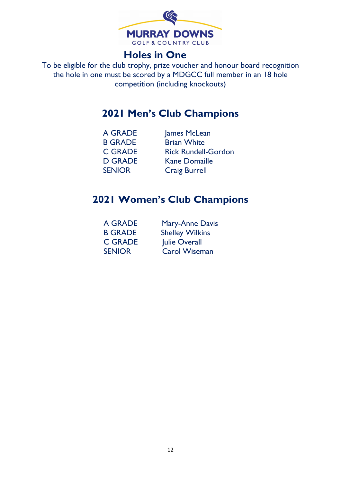

# **Holes in One**

To be eligible for the club trophy, prize voucher and honour board recognition the hole in one must be scored by a MDGCC full member in an 18 hole competition (including knockouts)

# **2021 Men's Club Champions**

| A GRADE        | James McLean               |
|----------------|----------------------------|
| <b>B GRADE</b> | <b>Brian White</b>         |
| <b>C GRADE</b> | <b>Rick Rundell-Gordon</b> |
| <b>D GRADE</b> | <b>Kane Domaille</b>       |
| <b>SENIOR</b>  | <b>Craig Burrell</b>       |

# **2021 Women's Club Champions**

| A GRADE        | <b>Mary-Anne Davis</b> |
|----------------|------------------------|
| <b>B GRADE</b> | <b>Shelley Wilkins</b> |
| <b>C GRADE</b> | Julie Overall          |
| <b>SENIOR</b>  | <b>Carol Wiseman</b>   |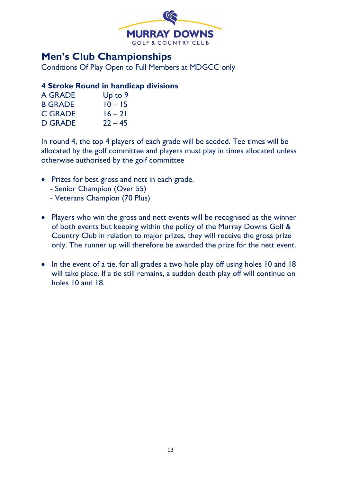

# **Men's Club Championships**

Conditions Of Play Open to Full Members at MDGCC only

#### **4 Stroke Round in handicap divisions**

| <b>A GRADE</b> | Up to $9$ |
|----------------|-----------|
| <b>B GRADE</b> | $10 - 15$ |
| <b>C GRADE</b> | $16 - 21$ |
| <b>D GRADE</b> | $22 - 45$ |

In round 4, the top 4 players of each grade will be seeded. Tee times will be allocated by the golf committee and players must play in times allocated unless otherwise authorised by the golf committee

- Prizes for best gross and nett in each grade.
	- Senior Champion (Over 55)
	- Veterans Champion (70 Plus)
- Players who win the gross and nett events will be recognised as the winner of both events but keeping within the policy of the Murray Downs Golf & Country Club in relation to major prizes, they will receive the gross prize only. The runner up will therefore be awarded the prize for the nett event.
- In the event of a tie, for all grades a two hole play off using holes 10 and 18 will take place. If a tie still remains, a sudden death play off will continue on holes 10 and 18.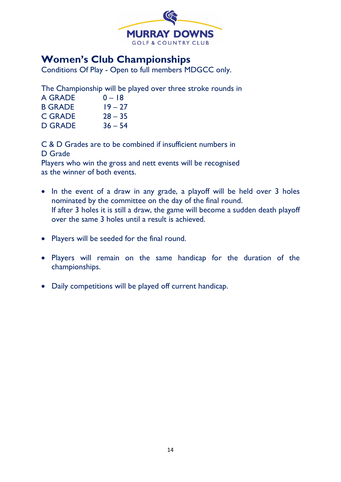

# **Women's Club Championships**

Conditions Of Play - Open to full members MDGCC only.

The Championship will be played over three stroke rounds in

| A GRADE        | $0 - 18$  |
|----------------|-----------|
| <b>B GRADE</b> | $19 - 27$ |
| <b>C GRADE</b> | $28 - 35$ |
| <b>D GRADE</b> | $36 - 54$ |

C & D Grades are to be combined if insufficient numbers in D Grade

Players who win the gross and nett events will be recognised as the winner of both events.

- In the event of a draw in any grade, a playoff will be held over 3 holes nominated by the committee on the day of the final round. If after 3 holes it is still a draw, the game will become a sudden death playoff over the same 3 holes until a result is achieved.
- Players will be seeded for the final round.
- Players will remain on the same handicap for the duration of the championships.
- Daily competitions will be played off current handicap.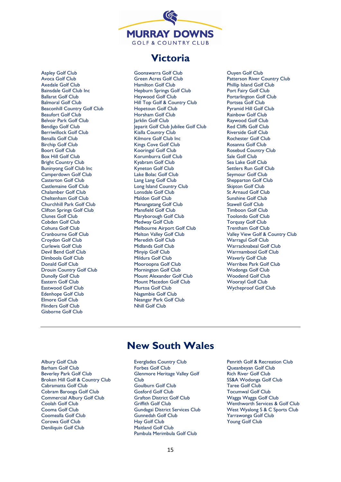

### **Victoria**

Aspley Golf Club Avoca Golf Club Axedale Golf Club Bainsdale Golf Club Inc Ballarat Golf Club Balmoral Golf Club Beaconhill Country Golf Club Beaufort Golf Club Belvoir Park Golf Club Bendigo Golf Club Berriwillock Golf Club Benalla Golf Club Birchip Golf Club Boort Golf Club Box Hill Golf Club Bright Country Club Buninyong Golf Club Inc Camperdown Golf Club Casterton Golf Club Castlemaine Golf Club Chalamber Golf Club Cheltenham Golf Club Churchhill Park Golf Club Clifton Springs Golf Club Clunes Golf Club Cobden Golf Club Cohuna Golf Club Cranbourne Golf Club Croydon Golf Club Curlewis Golf Club Devil Bend Golf Club Dimboola Golf Club Donald Golf Club Drouin Country Golf Club Dunolly Golf Club Eastern Golf Club Eastwood Golf Club Edenhope Golf Club Elmore Golf Club Flinders Golf Club Gisborne Golf Club

Goonawarra Golf Club Green Acres Golf Club Hamilton Golf Club Hepburn Springs Golf Club Heywood Golf Club Hill Top Golf & Country Club Hopetoun Golf Club Horsham Golf Club Jarklin Golf Club Jeparit Golf Club Jubilee Golf Club Kialla Country Club Kilmore Golf Club Inc Kings Cove Golf Club Kooringal Golf Club Korumburra Golf Club Kyabram Golf Club Kyneton Golf Club Lake Bolac Golf Club Lang Lang Golf Club Long Island Country Club Lonsdale Golf Club Maldon Golf Club Manangatang Golf Club Mansfield Golf Club Maryborough Golf Club Medway Golf Club Melbourne Airport Golf Club Melton Valley Golf Club Meredith Golf Club Midlands Golf Club Minyip Golf Club Mildura Golf Club Mooroopna Golf Club Mornington Golf Club Mount Alexander Golf Club Mount Macedon Golf Club Murtoa Golf Club Nagambie Golf Club Neangar Park Golf Club Nhill Golf Club

Ouyen Golf Club Patterson River Country Club Phillip Island Golf Club Port Fairy Golf Club Portarlington Golf Club Portsea Golf Club Pyramid Hill Golf Club Rainbow Golf Club Raywood Golf Club Red Cliffs Golf Club Riverside Golf Club Rochester Golf Club Rosanna Golf Club Rosebud Country Club Sale Golf Club Sea Lake Golf Club Settlers Run Golf Club Seymour Golf Club Shepparton Golf Club Skipton Golf Club St Arnaud Golf Club Sunshine Golf Club Stawell Golf Club Timboon Golf Club Toolondo Golf Club Torquay Golf Club Trentham Golf Club Valley View Golf & Country Club Warragul Golf Club Warracknabeal Golf Club Warrnambool Golf Club Waverly Golf Club Werribee Park Golf Club Wodonga Golf Club Woodend Golf Club Woorayl Golf Club Wycheproof Golf Club

## **New South Wales**

- Albury Golf Club Barham Golf Club Beverley Park Golf Club Broken Hill Golf & Country Club Cabramatta Golf Club Cobram Barooga Golf Club Commercial Albury Golf Club Coolah Golf Club Cooma Golf Club Coomealla Golf Club Corowa Golf Club Deniliquin Golf Club
- Everglades Country Club Forbes Golf Club Glenmore Heritage Valley Golf Club Goulburn Golf Club Gosford Golf Club Grafton District Golf Club Griffith Golf Club Gundagai District Services Club Gunnedah Golf Club Hay Golf Club Maitland Golf Club Pambula Merimbula Golf Club
- Penrith Golf & Recreation Club Queanbeyan Golf Club Rich River Golf Club SS&A Wodonga Golf Club Taree Golf Club Tocumwal Golf Club Wagga Wagga Golf Club Wenthworth Services & Golf Club West Wyalong S & C Sports Club Yarrawonga Golf Club Young Golf Club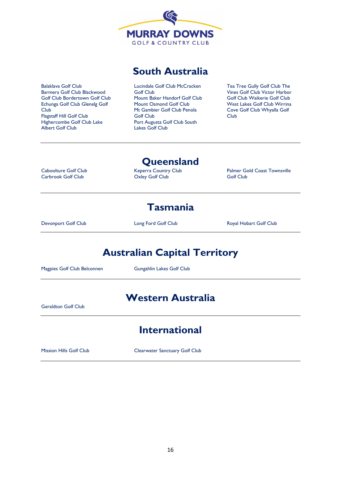

## **South Australia**

Balaklava Golf Club Barmera Golf Club Blackwood Golf Club Bordertown Golf Club Echunga Golf Club Glenelg Golf Club Flagstaff Hill Golf Club Highercombe Golf Club Lake Albert Golf Club

Lucindale Golf Club McCracken Golf Club Mount Baker Handorf Golf Club Mount Osmond Golf Club Mt Gambier Golf Club Penola Golf Club Port Augusta Golf Club South Lakes Golf Club

Tea Tree Gully Golf Club The Vines Golf Club Victor Harbor Golf Club Waikerie Golf Club West Lakes Golf Club Wirrina Cove Golf Club Whyalla Golf Club

Caboolture Golf Club Carbrook Golf Club

#### **Queensland**

Keperra Country Club Oxley Golf Club

Palmer Gold Coast Townsville Golf Club

## **Tasmania**

Devonport Golf Club Long Ford Golf Club Royal Hobart Golf Club

# **Australian Capital Territory**

Magpies Golf Club Belconnen Gungahlin Lakes Golf Club

## **Western Australia**

Geraldton Golf Club

## **International**

Mission Hills Golf Club Clearwater Sanctuary Golf Club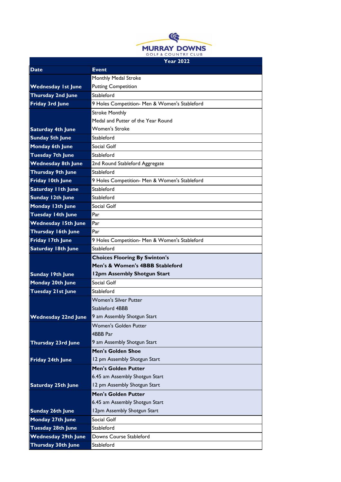

|                            | <b>Year 2022</b>                              |  |
|----------------------------|-----------------------------------------------|--|
| <b>Date</b>                | <b>Event</b>                                  |  |
|                            | Monthly Medal Stroke                          |  |
| <b>Wednesday 1st June</b>  | <b>Putting Competition</b>                    |  |
| <b>Thursday 2nd June</b>   | Stableford                                    |  |
| <b>Friday 3rd June</b>     | 9 Holes Competition- Men & Women's Stableford |  |
|                            | <b>Stroke Monthly</b>                         |  |
|                            | Medal and Putter of the Year Round            |  |
| <b>Saturday 4th June</b>   | <b>Women's Stroke</b>                         |  |
| <b>Sunday 5th June</b>     | Stableford                                    |  |
| Monday 6th June            | Social Golf                                   |  |
| <b>Tuesday 7th June</b>    | Stableford                                    |  |
| <b>Wednesday 8th June</b>  | 2nd Round Stableford Aggregate                |  |
| <b>Thursday 9th June</b>   | Stableford                                    |  |
| Friday 10th June           | 9 Holes Competition- Men & Women's Stableford |  |
| <b>Saturday IIth June</b>  | Stableford                                    |  |
| Sunday 12th June           | Stableford                                    |  |
| Monday 13th June           | Social Golf                                   |  |
| Tuesday 14th June          | Par                                           |  |
| <b>Wednesday 15th June</b> | Par                                           |  |
| Thursday 16th June         | Par                                           |  |
| Friday 17th June           | 9 Holes Competition- Men & Women's Stableford |  |
| <b>Saturday 18th June</b>  | Stableford                                    |  |
|                            | <b>Choices Flooring By Swinton's</b>          |  |
|                            | Men's & Women's 4BBB Stableford               |  |
| <b>Sunday 19th June</b>    | 12pm Assembly Shotgun Start                   |  |
| Monday 20th June           | Social Golf                                   |  |
| <b>Tuesday 21st June</b>   | Stableford                                    |  |
|                            | <b>Women's Silver Putter</b>                  |  |
|                            | Stableford 4BBB                               |  |
| <b>Wednesday 22nd June</b> | 9 am Assembly Shotgun Start                   |  |
|                            | <b>Women's Golden Putter</b>                  |  |
|                            | 4BBB Par                                      |  |
| <b>Thursday 23rd June</b>  | 9 am Assembly Shotgun Start                   |  |
|                            | <b>Men's Golden Shoe</b>                      |  |
| Friday 24th June           | 12 pm Assembly Shotgun Start                  |  |
|                            | <b>Men's Golden Putter</b>                    |  |
|                            | 6.45 am Assembly Shotgun Start                |  |
| <b>Saturday 25th June</b>  | 12 pm Assembly Shotgun Start                  |  |
|                            | <b>Men's Golden Putter</b>                    |  |
|                            | 6.45 am Assembly Shotgun Start                |  |
| <b>Sunday 26th June</b>    | 12pm Assembly Shotgun Start                   |  |
| Monday 27th June           | Social Golf                                   |  |
| <b>Tuesday 28th June</b>   | Stableford                                    |  |
| <b>Wednesday 29th June</b> | Downs Course Stableford                       |  |
| <b>Thursday 30th June</b>  | Stableford                                    |  |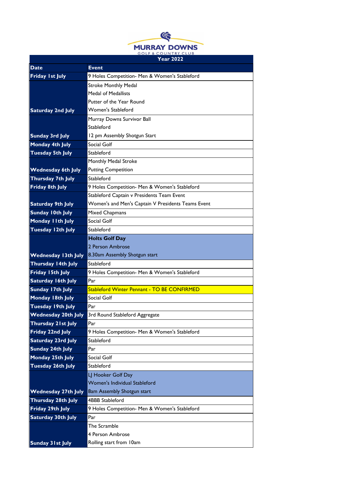

|                            | 1 ear 2022                                         |
|----------------------------|----------------------------------------------------|
| <b>Date</b>                | <b>Event</b>                                       |
| Friday 1st July            | 9 Holes Competition- Men & Women's Stableford      |
|                            | <b>Stroke Monthly Medal</b>                        |
|                            | <b>Medal of Medallists</b>                         |
|                            | Putter of the Year Round                           |
| <b>Saturday 2nd July</b>   | Women's Stableford                                 |
|                            | Murray Downs Survivor Ball                         |
|                            | Stableford                                         |
| <b>Sunday 3rd July</b>     | 12 pm Assembly Shotgun Start                       |
| Monday 4th July            | Social Golf                                        |
| <b>Tuesday 5th July</b>    | Stableford                                         |
|                            | Monthly Medal Stroke                               |
| <b>Wednesday 6th July</b>  | <b>Putting Competition</b>                         |
| Thursday 7th July          | Stableford                                         |
| Friday 8th July            | 9 Holes Competition- Men & Women's Stableford      |
|                            | Stableford Captain v Presidents Team Event         |
| <b>Saturday 9th July</b>   | Women's and Men's Captain V Presidents Teams Event |
| <b>Sunday 10th July</b>    | <b>Mixed Chapmans</b>                              |
| Monday I I th July         | Social Golf                                        |
| Tuesday 12th July          | Stableford                                         |
|                            | <b>Holts Golf Day</b>                              |
|                            | 2 Person Ambrose                                   |
| <b>Wednesday 13th July</b> | 8.30am Assembly Shotgun start                      |
| Thursday 14th July         | Stableford                                         |
| Friday 15th July           | 9 Holes Competition- Men & Women's Stableford      |
| Saturday 16th July         | Par                                                |
| Sunday 17th July           | Stableford Winter Pennant - TO BE CONFIRMED        |
| Monday 18th July           | Social Golf                                        |
| <b>Tuesday 19th July</b>   | Par                                                |
| <b>Wednesday 20th July</b> | 3rd Round Stableford Aggregate                     |
| Thursday 21st July         | Par                                                |
| Friday 22nd July           | 9 Holes Competition- Men & Women's Stableford      |
| <b>Saturday 23rd July</b>  | Stableford                                         |
| Sunday 24th July           | Par                                                |
| Monday 25th July           | Social Golf                                        |
| <b>Tuesday 26th July</b>   | Stableford                                         |
|                            | LJ Hooker Golf Day                                 |
|                            | Women's Individual Stableford                      |
| <b>Wednesday 27th July</b> | 8am Assembly Shotgun start                         |
| Thursday 28th July         | <b>4BBB Stableford</b>                             |
| Friday 29th July           | 9 Holes Competition- Men & Women's Stableford      |
| <b>Saturday 30th July</b>  | Par                                                |
|                            | The Scramble                                       |
|                            | 4 Person Ambrose                                   |
| <b>Sunday 31st July</b>    | Rolling start from 10am                            |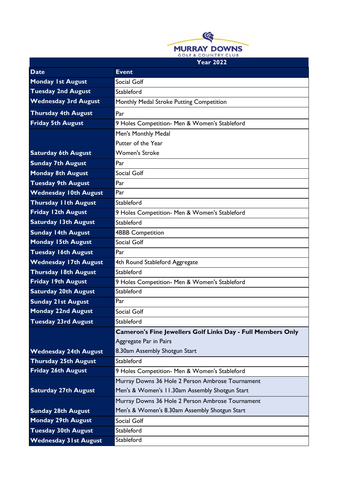

|                              | <b>Year 2022</b>                                                   |
|------------------------------|--------------------------------------------------------------------|
| <b>Date</b>                  | <b>Event</b>                                                       |
| <b>Monday 1st August</b>     | Social Golf                                                        |
| <b>Tuesday 2nd August</b>    | Stableford                                                         |
| <b>Wednesday 3rd August</b>  | Monthly Medal Stroke Putting Competition                           |
| <b>Thursday 4th August</b>   | Par                                                                |
| <b>Friday 5th August</b>     | 9 Holes Competition- Men & Women's Stableford                      |
|                              | Men's Monthly Medal                                                |
|                              | Putter of the Year                                                 |
| <b>Saturday 6th August</b>   | <b>Women's Stroke</b>                                              |
| <b>Sunday 7th August</b>     | Par                                                                |
| <b>Monday 8th August</b>     | Social Golf                                                        |
| <b>Tuesday 9th August</b>    | Par                                                                |
| <b>Wednesday 10th August</b> | Par                                                                |
| <b>Thursday I Ith August</b> | Stableford                                                         |
| Friday 12th August           | 9 Holes Competition- Men & Women's Stableford                      |
| <b>Saturday 13th August</b>  | Stableford                                                         |
| <b>Sunday 14th August</b>    | <b>4BBB Competition</b>                                            |
| <b>Monday 15th August</b>    | Social Golf                                                        |
| <b>Tuesday 16th August</b>   | Par                                                                |
| <b>Wednesday 17th August</b> | 4th Round Stableford Aggregate                                     |
| <b>Thursday 18th August</b>  | Stableford                                                         |
| <b>Friday 19th August</b>    | 9 Holes Competition- Men & Women's Stableford                      |
| <b>Saturday 20th August</b>  | Stableford                                                         |
| <b>Sunday 21st August</b>    | Par                                                                |
| <b>Monday 22nd August</b>    | Social Golf                                                        |
| <b>Tuesday 23rd August</b>   | Stableford                                                         |
|                              | <b>Cameron's Fine Jewellers Golf Links Day - Full Members Only</b> |
|                              | Aggregate Par in Pairs                                             |
| <b>Wednesday 24th August</b> | 8.30am Assembly Shotgun Start                                      |
| <b>Thursday 25th August</b>  | Stableford                                                         |
| <b>Friday 26th August</b>    | 9 Holes Competition- Men & Women's Stableford                      |
|                              | Murray Downs 36 Hole 2 Person Ambrose Tournament                   |
| <b>Saturday 27th August</b>  | Men's & Women's 11.30am Assembly Shotgun Start                     |
|                              | Murray Downs 36 Hole 2 Person Ambrose Tournament                   |
| <b>Sunday 28th August</b>    | Men's & Women's 8.30am Assembly Shotgun Start                      |
| <b>Monday 29th August</b>    | Social Golf                                                        |
| <b>Tuesday 30th August</b>   | Stableford                                                         |
| <b>Wednesday 31st August</b> | Stableford                                                         |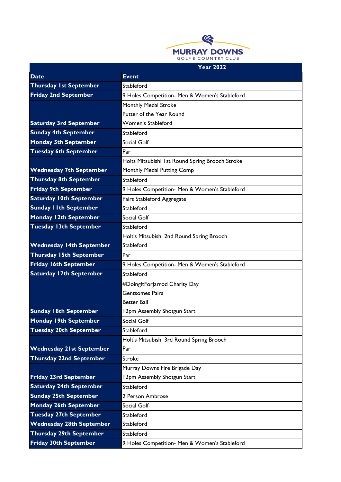

| <b>Date</b>                     | <b>Event</b>                                    |
|---------------------------------|-------------------------------------------------|
| <b>Thursday 1st September</b>   | Stableford                                      |
| <b>Friday 2nd September</b>     | 9 Holes Competition- Men & Women's Stableford   |
|                                 | Monthly Medal Stroke                            |
|                                 | Putter of the Year Round                        |
| <b>Saturday 3rd September</b>   | <b>Women's Stableford</b>                       |
| <b>Sunday 4th September</b>     | Stableford                                      |
| <b>Monday 5th September</b>     | Social Golf                                     |
| <b>Tuesday 6th September</b>    | Par                                             |
|                                 | Holts Mitsubishi 1st Round Spring Brooch Stroke |
| <b>Wednesday 7th September</b>  | Monthly Medal Putting Comp                      |
| <b>Thursday 8th September</b>   | Stableford                                      |
| <b>Friday 9th September</b>     | 9 Holes Competition- Men & Women's Stableford   |
| <b>Saturday 10th September</b>  | Pairs Stableford Aggregate                      |
| <b>Sunday I Ith September</b>   | Stableford                                      |
| <b>Monday 12th September</b>    | Social Golf                                     |
| <b>Tuesday 13th September</b>   | Stableford                                      |
|                                 | Holt's Mitsubishi 2nd Round Spring Brooch       |
| <b>Wednesday 14th September</b> | Stableford                                      |
| <b>Thursday 15th September</b>  | Par                                             |
| <b>Friday 16th September</b>    | 9 Holes Competition- Men & Women's Stableford   |
| <b>Saturday 17th September</b>  | Stableford                                      |
|                                 | #DoingItForJarrod Charity Day                   |
|                                 | <b>Gentsomes Pairs</b>                          |
|                                 | <b>Better Ball</b>                              |
| <b>Sunday 18th September</b>    | 12pm Assembly Shotgun Start                     |
| <b>Monday 19th September</b>    | Social Golf                                     |
| <b>Tuesday 20th September</b>   | Stableford                                      |
|                                 | Holt's Mitsubishi 3rd Round Spring Brooch       |
| <b>Wednesday 21st September</b> | Par                                             |
| <b>Thursday 22nd September</b>  | Stroke                                          |
|                                 | Murray Downs Fire Brigade Day                   |
| <b>Friday 23rd September</b>    | 12pm Assembly Shotgun Start                     |
| <b>Saturday 24th September</b>  | Stableford                                      |
| <b>Sunday 25th September</b>    | 2 Person Ambrose                                |
| <b>Monday 26th September</b>    | Social Golf                                     |
| <b>Tuesday 27th September</b>   | Stableford                                      |
| <b>Wednesday 28th September</b> | Stableford                                      |
| <b>Thursday 29th September</b>  | Stableford                                      |
| <b>Friday 30th September</b>    | 9 Holes Competition- Men & Women's Stableford   |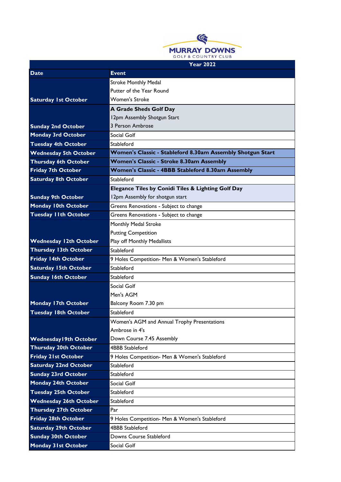

| <b>Date</b>                   | <b>Event</b>                                               |
|-------------------------------|------------------------------------------------------------|
|                               | <b>Stroke Monthly Medal</b>                                |
|                               | Putter of the Year Round                                   |
| <b>Saturday 1st October</b>   | <b>Women's Stroke</b>                                      |
|                               | A Grade Sheds Golf Day                                     |
|                               | 12pm Assembly Shotgun Start                                |
| <b>Sunday 2nd October</b>     | 3 Person Ambrose                                           |
| <b>Monday 3rd October</b>     | Social Golf                                                |
| <b>Tuesday 4th October</b>    | Stableford                                                 |
| <b>Wednesday 5th October</b>  | Women's Classic - Stableford 8.30am Assembly Shotgun Start |
| <b>Thursday 6th October</b>   | Women's Classic - Stroke 8.30am Assembly                   |
| <b>Friday 7th October</b>     | Women's Classic - 4BBB Stableford 8.30am Assembly          |
| <b>Saturday 8th October</b>   | Stableford                                                 |
|                               | Elegance Tiles by Conidi Tiles & Lighting Golf Day         |
| <b>Sunday 9th October</b>     | 12pm Assembly for shotgun start                            |
| <b>Monday 10th October</b>    | Greens Renovations - Subject to change                     |
| <b>Tuesday I Ith October</b>  | Greens Renovations - Subject to change                     |
|                               | Monthly Medal Stroke                                       |
|                               | <b>Putting Competition</b>                                 |
| <b>Wednesday 12th October</b> | Play off Monthly Medallists                                |
| <b>Thursday 13th October</b>  | Stableford                                                 |
| <b>Friday 14th October</b>    | 9 Holes Competition- Men & Women's Stableford              |
| <b>Saturday 15th October</b>  | Stableford                                                 |
| <b>Sunday 16th October</b>    | Stableford                                                 |
|                               | Social Golf                                                |
|                               | Men's AGM                                                  |
| <b>Monday 17th October</b>    | Balcony Room 7.30 pm                                       |
| <b>Tuesday 18th October</b>   | Stableford                                                 |
|                               | Women's AGM and Annual Trophy Presentations                |
|                               | Ambrose in 4's                                             |
| <b>Wednesday 19th October</b> | Down Course 7.45 Assembly                                  |
| <b>Thursday 20th October</b>  | <b>4BBB Stableford</b>                                     |
| <b>Friday 21st October</b>    | 9 Holes Competition- Men & Women's Stableford              |
| <b>Saturday 22nd October</b>  | Stableford                                                 |
| <b>Sunday 23rd October</b>    | Stableford                                                 |
| <b>Monday 24th October</b>    | Social Golf                                                |
| <b>Tuesday 25th October</b>   | Stableford                                                 |
| <b>Wednesday 26th October</b> | Stableford                                                 |
| <b>Thursday 27th October</b>  | Par                                                        |
| <b>Friday 28th October</b>    | 9 Holes Competition- Men & Women's Stableford              |
| <b>Saturday 29th October</b>  | <b>4BBB Stableford</b>                                     |
| <b>Sunday 30th October</b>    | Downs Course Stableford                                    |
| <b>Monday 31st October</b>    | Social Golf                                                |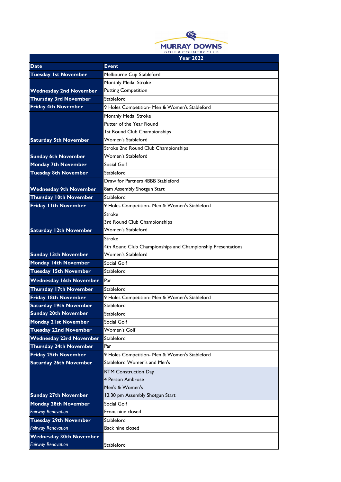

|                                | Year 2022                                                   |
|--------------------------------|-------------------------------------------------------------|
| Date                           | <b>Event</b>                                                |
| <b>Tuesday 1st November</b>    | Melbourne Cup Stableford                                    |
|                                | Monthly Medal Stroke                                        |
| <b>Wednesday 2nd November</b>  | <b>Putting Competition</b>                                  |
| <b>Thursday 3rd November</b>   | Stableford                                                  |
| <b>Friday 4th November</b>     | 9 Holes Competition- Men & Women's Stableford               |
|                                | Monthly Medal Stroke                                        |
|                                | Putter of the Year Round                                    |
|                                | <b>Ist Round Club Championships</b>                         |
| <b>Saturday 5th November</b>   | <b>Women's Stableford</b>                                   |
|                                | Stroke 2nd Round Club Championships                         |
| <b>Sunday 6th November</b>     | Women's Stableford                                          |
| <b>Monday 7th November</b>     | Social Golf                                                 |
| <b>Tuesday 8th November</b>    | Stableford                                                  |
|                                | Draw for Partners 4BBB Stableford                           |
| <b>Wednesday 9th November</b>  | 8am Assembly Shotgun Start                                  |
| <b>Thursday 10th November</b>  | Stableford                                                  |
| <b>Friday IIth November</b>    | 9 Holes Competition- Men & Women's Stableford               |
|                                | Stroke                                                      |
|                                | 3rd Round Club Championships                                |
| <b>Saturday 12th November</b>  | Women's Stableford                                          |
|                                | Stroke                                                      |
|                                | 4th Round Club Championships and Championship Presentations |
| <b>Sunday 13th November</b>    | Women's Stableford                                          |
| <b>Monday 14th November</b>    | Social Golf                                                 |
| <b>Tuesday 15th November</b>   | Stableford                                                  |
| <b>Wednesday 16th November</b> | Par                                                         |
| <b>Thursday 17th November</b>  | Stableford                                                  |
| <b>Friday 18th November</b>    | 9 Holes Competition- Men & Women's Stableford               |
| <b>Saturday 19th November</b>  | Stableford                                                  |
| <b>Sunday 20th November</b>    | Stableford                                                  |
| <b>Monday 21st November</b>    | Social Golf                                                 |
| <b>Tuesday 22nd November</b>   | Women's Golf                                                |
| <b>Wednesday 23rd November</b> | Stableford                                                  |
| <b>Thursday 24th November</b>  | Par                                                         |
| <b>Friday 25th November</b>    | 9 Holes Competition- Men & Women's Stableford               |
| <b>Saturday 26th November</b>  | Stableford Women's and Men's                                |
|                                | <b>RTM Construction Day</b>                                 |
|                                | 4 Person Ambrose                                            |
|                                | Men's & Women's                                             |
| <b>Sunday 27th November</b>    | 12.30 pm Assembly Shotgun Start                             |
| <b>Monday 28th November</b>    | Social Golf                                                 |
| <b>Fairway Renovation</b>      | Front nine closed                                           |
| <b>Tuesday 29th November</b>   | Stableford                                                  |
| <b>Fairway Renovation</b>      | Back nine closed                                            |
| <b>Wednesday 30th November</b> |                                                             |
| <b>Fairway Renovation</b>      | Stableford                                                  |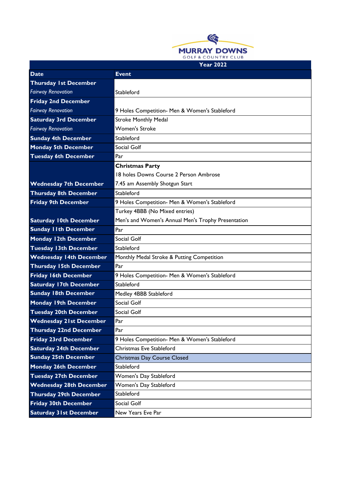

| <b>Date</b>                    | <b>Event</b>                                       |
|--------------------------------|----------------------------------------------------|
| <b>Thursday 1st December</b>   |                                                    |
| <b>Fairway Renovation</b>      | Stableford                                         |
| <b>Friday 2nd December</b>     |                                                    |
| <b>Fairway Renovation</b>      | 9 Holes Competition- Men & Women's Stableford      |
| <b>Saturday 3rd December</b>   | <b>Stroke Monthly Medal</b>                        |
| <b>Fairway Renovation</b>      | <b>Women's Stroke</b>                              |
| <b>Sunday 4th December</b>     | Stableford                                         |
| <b>Monday 5th December</b>     | Social Golf                                        |
| <b>Tuesday 6th December</b>    | Par                                                |
|                                | <b>Christmas Party</b>                             |
|                                | 18 holes Downs Course 2 Person Ambrose             |
| <b>Wednesday 7th December</b>  | 7.45 am Assembly Shotgun Start                     |
| <b>Thursday 8th December</b>   | Stableford                                         |
| <b>Friday 9th December</b>     | 9 Holes Competition- Men & Women's Stableford      |
|                                | Turkey 4BBB (No Mixed entries)                     |
| <b>Saturday 10th December</b>  | Men's and Women's Annual Men's Trophy Presentation |
| <b>Sunday I Ith December</b>   | Par                                                |
| <b>Monday 12th December</b>    | Social Golf                                        |
| <b>Tuesday 13th December</b>   | Stableford                                         |
| <b>Wednesday 14th December</b> | Monthly Medal Stroke & Putting Competition         |
| <b>Thursday 15th December</b>  | Par                                                |
| <b>Friday 16th December</b>    | 9 Holes Competition- Men & Women's Stableford      |
| <b>Saturday 17th December</b>  | Stableford                                         |
| <b>Sunday 18th December</b>    | Medley 4BBB Stableford                             |
| <b>Monday 19th December</b>    | Social Golf                                        |
| <b>Tuesday 20th December</b>   | Social Golf                                        |
| <b>Wednesday 21st December</b> | Par                                                |
| <b>Thursday 22nd December</b>  | Par                                                |
| <b>Friday 23rd December</b>    | 9 Holes Competition- Men & Women's Stableford      |
| <b>Saturday 24th December</b>  | Christmas Eve Stableford                           |
| <b>Sunday 25th December</b>    | Christmas Day Course Closed                        |
| <b>Monday 26th December</b>    | Stableford                                         |
| <b>Tuesday 27th December</b>   | Women's Day Stableford                             |
| <b>Wednesday 28th December</b> | Women's Day Stableford                             |
| <b>Thursday 29th December</b>  | Stableford                                         |
| <b>Friday 30th December</b>    | Social Golf                                        |
| <b>Saturday 31st December</b>  | New Years Eve Par                                  |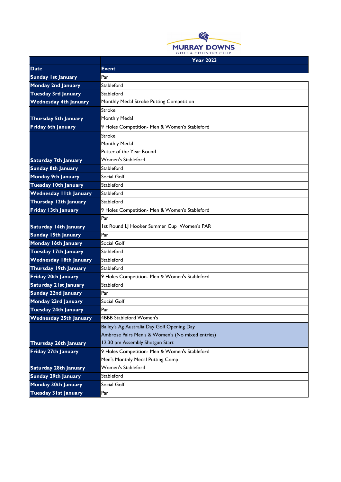

| <b>Date</b>                   | <b>Event</b>                                     |
|-------------------------------|--------------------------------------------------|
|                               | Par                                              |
| <b>Sunday 1st January</b>     |                                                  |
| <b>Monday 2nd January</b>     | Stableford                                       |
| <b>Tuesday 3rd January</b>    | Stableford                                       |
| <b>Wednesday 4th January</b>  | Monthly Medal Stroke Putting Competition         |
|                               | Stroke                                           |
| <b>Thursday 5th January</b>   | Monthly Medal                                    |
| Friday 6th January            | 9 Holes Competition- Men & Women's Stableford    |
|                               | Stroke                                           |
|                               | Monthly Medal                                    |
|                               | Putter of the Year Round                         |
| <b>Saturday 7th January</b>   | <b>Women's Stableford</b>                        |
| <b>Sunday 8th January</b>     | Stableford                                       |
| <b>Monday 9th January</b>     | Social Golf                                      |
| <b>Tuesday 10th January</b>   | Stableford                                       |
| <b>Wednesday IIth January</b> | Stableford                                       |
| Thursday 12th January         | Stableford                                       |
| Friday 13th January           | 9 Holes Competition- Men & Women's Stableford    |
|                               | Par                                              |
| <b>Saturday 14th January</b>  | Ist Round LJ Hooker Summer Cup Women's PAR       |
| <b>Sunday 15th January</b>    | Par                                              |
| Monday 16th January           | Social Golf                                      |
| <b>Tuesday 17th January</b>   | Stableford                                       |
| <b>Wednesday 18th January</b> | Stableford                                       |
| Thursday 19th January         | Stableford                                       |
| <b>Friday 20th January</b>    | 9 Holes Competition- Men & Women's Stableford    |
| <b>Saturday 21st January</b>  | Stableford                                       |
| <b>Sunday 22nd January</b>    | Par                                              |
| Monday 23rd January           | Social Golf                                      |
| Tuesday 24th January          | Par                                              |
| <b>Wednesday 25th January</b> | <b>4BBB Stableford Women's</b>                   |
|                               | Bailey's Ag Australia Day Golf Opening Day       |
|                               | Ambrose Pairs Men's & Women's (No mixed entries) |
| Thursday 26th January         | 12.30 pm Assembly Shotgun Start                  |
| <b>Friday 27th January</b>    | 9 Holes Competition- Men & Women's Stableford    |
|                               | Men's Monthly Medal Putting Comp                 |
| <b>Saturday 28th January</b>  | Women's Stableford                               |
| <b>Sunday 29th January</b>    | Stableford                                       |
| <b>Monday 30th January</b>    | Social Golf                                      |
| <b>Tuesday 31st January</b>   | Par                                              |
|                               |                                                  |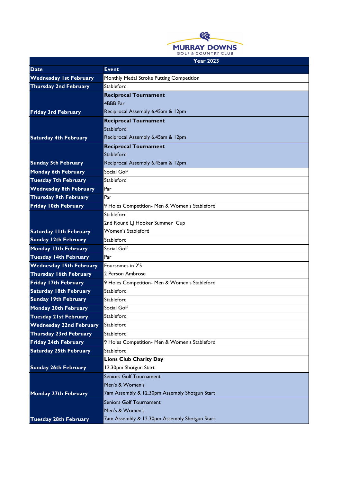

| <b>Date</b>                    | <b>Event</b>                                  |
|--------------------------------|-----------------------------------------------|
| <b>Wednesday 1st February</b>  | Monthly Medal Stroke Putting Competition      |
| <b>Thursday 2nd February</b>   | Stableford                                    |
|                                | <b>Reciprocal Tournament</b>                  |
|                                | 4BBB Par                                      |
| <b>Friday 3rd February</b>     | Reciprocal Assembly 6.45am & 12pm             |
|                                | <b>Reciprocal Tournament</b>                  |
|                                | Stableford                                    |
| <b>Saturday 4th February</b>   | Reciprocal Assembly 6.45am & 12pm             |
|                                | <b>Reciprocal Tournament</b>                  |
|                                | Stableford                                    |
| <b>Sunday 5th February</b>     | Reciprocal Assembly 6.45am & 12pm             |
| <b>Monday 6th February</b>     | Social Golf                                   |
| <b>Tuesday 7th February</b>    | Stableford                                    |
| <b>Wednesday 8th February</b>  | Par                                           |
| <b>Thursday 9th February</b>   | Par                                           |
| Friday 10th February           | 9 Holes Competition- Men & Women's Stableford |
|                                | Stableford                                    |
|                                | 2nd Round LJ Hooker Summer Cup                |
| <b>Saturday I Ith February</b> | Women's Stableford                            |
| <b>Sunday 12th February</b>    | Stableford                                    |
| <b>Monday 13th February</b>    | Social Golf                                   |
| <b>Tuesday 14th February</b>   | Par                                           |
| <b>Wednesday 15th February</b> | Foursomes in 2'5                              |
| <b>Thursday 16th February</b>  | 2 Person Ambrose                              |
| <b>Friday 17th February</b>    | 9 Holes Competition- Men & Women's Stableford |
| <b>Saturday 18th February</b>  | Stableford                                    |
| <b>Sunday 19th February</b>    | Stableford                                    |
| <b>Monday 20th February</b>    | Social Golf                                   |
| <b>Tuesday 21st February</b>   | Stableford                                    |
| <b>Wednesday 22nd February</b> | Stableford                                    |
| <b>Thursday 23rd February</b>  | Stableford                                    |
| <b>Friday 24th February</b>    | 9 Holes Competition- Men & Women's Stableford |
| <b>Saturday 25th February</b>  | Stableford                                    |
|                                | <b>Lions Club Charity Day</b>                 |
| <b>Sunday 26th February</b>    | 12.30pm Shotgun Start                         |
|                                | <b>Seniors Golf Tournament</b>                |
|                                | Men's & Women's                               |
| <b>Monday 27th February</b>    | 7am Assembly & 12.30pm Assembly Shotgun Start |
|                                | <b>Seniors Golf Tournament</b>                |
|                                | Men's & Women's                               |
| <b>Tuesday 28th February</b>   | 7am Assembly & 12.30pm Assembly Shotgun Start |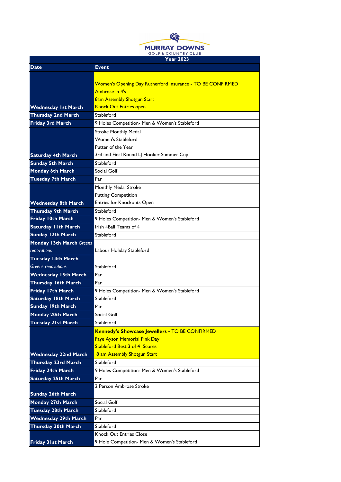

|                                 | Year 2023                                                         |
|---------------------------------|-------------------------------------------------------------------|
| Date                            | <b>Event</b>                                                      |
|                                 |                                                                   |
|                                 | <b>Women's Opening Day Rutherford Insurance - TO BE CONFIRMED</b> |
|                                 | Ambrose in 4's                                                    |
|                                 | <b>8am Assembly Shotgun Start</b>                                 |
| <b>Wednesday 1st March</b>      | <b>Knock Out Entries open</b>                                     |
| <b>Thursday 2nd March</b>       | Stableford                                                        |
| <b>Friday 3rd March</b>         | 9 Holes Competition- Men & Women's Stableford                     |
|                                 | <b>Stroke Monthly Medal</b>                                       |
|                                 | <b>Women's Stableford</b>                                         |
|                                 | Putter of the Year                                                |
| <b>Saturday 4th March</b>       | 3rd and Final Round LJ Hooker Summer Cup                          |
| <b>Sunday 5th March</b>         | Stableford                                                        |
| Monday 6th March                | Social Golf                                                       |
| <b>Tuesday 7th March</b>        | Par                                                               |
|                                 | Monthly Medal Stroke                                              |
|                                 | <b>Putting Competition</b>                                        |
| <b>Wednesday 8th March</b>      | Entries for Knockouts Open                                        |
| <b>Thursday 9th March</b>       | Stableford                                                        |
| Friday 10th March               | 9 Holes Competition- Men & Women's Stableford                     |
| <b>Saturday IIth March</b>      | Irish 4Ball Teams of 4                                            |
| <b>Sunday 12th March</b>        | Stableford                                                        |
| <b>Monday 13th March Greens</b> |                                                                   |
| renovations                     | Labour Holiday Stableford                                         |
| <b>Tuesday 14th March</b>       |                                                                   |
| <b>Greens renovations</b>       | Stableford                                                        |
| <b>Wednesday 15th March</b>     | Par                                                               |
| <b>Thursday 16th March</b>      | Par                                                               |
| Friday 17th March               | 9 Holes Competition- Men & Women's Stableford                     |
| <b>Saturday 18th March</b>      | Stableford                                                        |
| <b>Sunday 19th March</b>        | Par                                                               |
| Monday 20th March               | Social Golf                                                       |
| <b>Tuesday 21st March</b>       | Stableford                                                        |
|                                 | Kennedy's Showcase Jewellers - TO BE CONFIRMED                    |
|                                 | <b>Faye Ayson Memorial Pink Day</b>                               |
|                                 | <b>Stableford Best 3 of 4 Scores</b>                              |
| <b>Wednesday 22nd March</b>     | 8 am Assembly Shotgun Start                                       |
| <b>Thursday 23rd March</b>      | Stableford                                                        |
| Friday 24th March               | 9 Holes Competition- Men & Women's Stableford                     |
| <b>Saturday 25th March</b>      | Par                                                               |
|                                 | 2 Person Ambrose Stroke                                           |
| <b>Sunday 26th March</b>        |                                                                   |
| Monday 27th March               | Social Golf                                                       |
| <b>Tuesday 28th March</b>       | Stableford                                                        |
| <b>Wednesday 29th March</b>     | Par                                                               |
| Thursday 30th March             | Stableford                                                        |
|                                 | <b>Knock Out Entries Close</b>                                    |
| <b>Friday 31st March</b>        | 9 Hole Competition- Men & Women's Stableford                      |